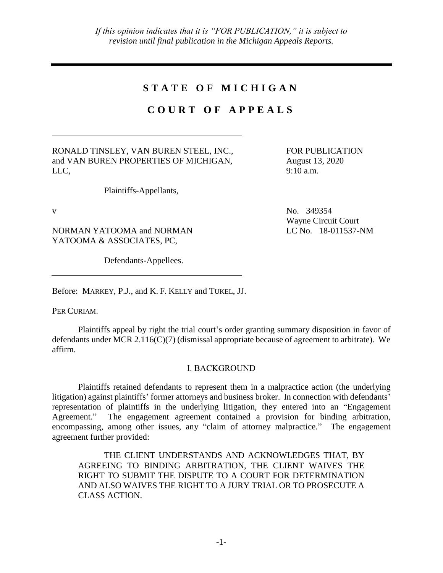## **S T A T E O F M I C H I G A N**

## **C O U R T O F A P P E A L S**

RONALD TINSLEY, VAN BUREN STEEL, INC., and VAN BUREN PROPERTIES OF MICHIGAN, LLC,

Plaintiffs-Appellants,

NORMAN YATOOMA and NORMAN YATOOMA & ASSOCIATES, PC,

Defendants-Appellees.

FOR PUBLICATION August 13, 2020 9:10 a.m.

v No. 349354 Wayne Circuit Court LC No. 18-011537-NM

Before: MARKEY, P.J., and K. F. KELLY and TUKEL, JJ.

PER CURIAM.

Plaintiffs appeal by right the trial court's order granting summary disposition in favor of defendants under MCR 2.116(C)(7) (dismissal appropriate because of agreement to arbitrate). We affirm.

## I. BACKGROUND

Plaintiffs retained defendants to represent them in a malpractice action (the underlying litigation) against plaintiffs' former attorneys and business broker. In connection with defendants' representation of plaintiffs in the underlying litigation, they entered into an "Engagement Agreement." The engagement agreement contained a provision for binding arbitration, encompassing, among other issues, any "claim of attorney malpractice." The engagement agreement further provided:

THE CLIENT UNDERSTANDS AND ACKNOWLEDGES THAT, BY AGREEING TO BINDING ARBITRATION, THE CLIENT WAIVES THE RIGHT TO SUBMIT THE DISPUTE TO A COURT FOR DETERMINATION AND ALSO WAIVES THE RIGHT TO A JURY TRIAL OR TO PROSECUTE A CLASS ACTION.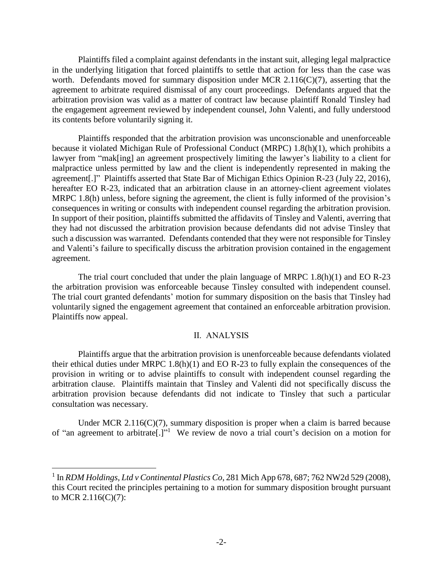Plaintiffs filed a complaint against defendants in the instant suit, alleging legal malpractice in the underlying litigation that forced plaintiffs to settle that action for less than the case was worth. Defendants moved for summary disposition under MCR 2.116(C)(7), asserting that the agreement to arbitrate required dismissal of any court proceedings. Defendants argued that the arbitration provision was valid as a matter of contract law because plaintiff Ronald Tinsley had the engagement agreement reviewed by independent counsel, John Valenti, and fully understood its contents before voluntarily signing it.

Plaintiffs responded that the arbitration provision was unconscionable and unenforceable because it violated Michigan Rule of Professional Conduct (MRPC) 1.8(h)(1), which prohibits a lawyer from "mak[ing] an agreement prospectively limiting the lawyer's liability to a client for malpractice unless permitted by law and the client is independently represented in making the agreement[.]" Plaintiffs asserted that State Bar of Michigan Ethics Opinion R-23 (July 22, 2016), hereafter EO R-23, indicated that an arbitration clause in an attorney-client agreement violates MRPC 1.8(h) unless, before signing the agreement, the client is fully informed of the provision's consequences in writing or consults with independent counsel regarding the arbitration provision. In support of their position, plaintiffs submitted the affidavits of Tinsley and Valenti, averring that they had not discussed the arbitration provision because defendants did not advise Tinsley that such a discussion was warranted. Defendants contended that they were not responsible for Tinsley and Valenti's failure to specifically discuss the arbitration provision contained in the engagement agreement.

The trial court concluded that under the plain language of MRPC 1.8(h)(1) and EO R-23 the arbitration provision was enforceable because Tinsley consulted with independent counsel. The trial court granted defendants' motion for summary disposition on the basis that Tinsley had voluntarily signed the engagement agreement that contained an enforceable arbitration provision. Plaintiffs now appeal.

## II. ANALYSIS

Plaintiffs argue that the arbitration provision is unenforceable because defendants violated their ethical duties under MRPC 1.8(h)(1) and EO R-23 to fully explain the consequences of the provision in writing or to advise plaintiffs to consult with independent counsel regarding the arbitration clause. Plaintiffs maintain that Tinsley and Valenti did not specifically discuss the arbitration provision because defendants did not indicate to Tinsley that such a particular consultation was necessary.

Under MCR 2.116( $C(7)$ , summary disposition is proper when a claim is barred because of "an agreement to arbitrate[.]"<sup>1</sup> We review de novo a trial court's decision on a motion for

 $\overline{a}$ 

<sup>&</sup>lt;sup>1</sup> In *RDM Holdings, Ltd v Continental Plastics Co*, 281 Mich App 678, 687; 762 NW2d 529 (2008), this Court recited the principles pertaining to a motion for summary disposition brought pursuant to MCR 2.116(C)(7):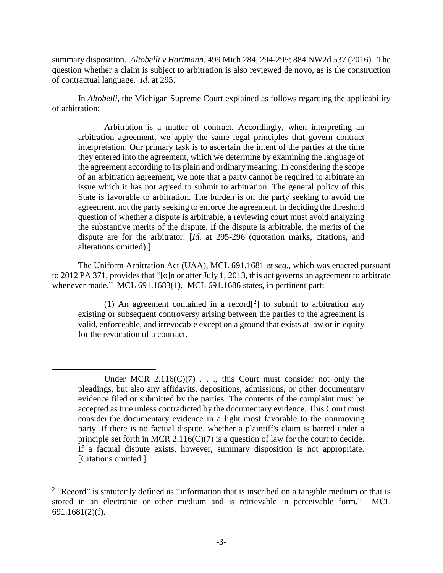summary disposition. *Altobelli v Hartmann*, 499 Mich 284, 294-295; 884 NW2d 537 (2016). The question whether a claim is subject to arbitration is also reviewed de novo, as is the construction of contractual language. *Id*. at 295.

In *Altobelli*, the Michigan Supreme Court explained as follows regarding the applicability of arbitration:

Arbitration is a matter of contract. Accordingly, when interpreting an arbitration agreement, we apply the same legal principles that govern contract interpretation. Our primary task is to ascertain the intent of the parties at the time they entered into the agreement, which we determine by examining the language of the agreement according to its plain and ordinary meaning. In considering the scope of an arbitration agreement, we note that a party cannot be required to arbitrate an issue which it has not agreed to submit to arbitration. The general policy of this State is favorable to arbitration. The burden is on the party seeking to avoid the agreement, not the party seeking to enforce the agreement. In deciding the threshold question of whether a dispute is arbitrable, a reviewing court must avoid analyzing the substantive merits of the dispute. If the dispute is arbitrable, the merits of the dispute are for the arbitrator. [*Id.* at 295-296 (quotation marks, citations, and alterations omitted).]

The Uniform Arbitration Act (UAA), MCL 691.1681 *et seq*., which was enacted pursuant to 2012 PA 371, provides that "[o]n or after July 1, 2013, this act governs an agreement to arbitrate whenever made." MCL 691.1683(1). MCL 691.1686 states, in pertinent part:

(1) An agreement contained in a record<sup>[2</sup>] to submit to arbitration any existing or subsequent controversy arising between the parties to the agreement is valid, enforceable, and irrevocable except on a ground that exists at law or in equity for the revocation of a contract.

 $\overline{a}$ 

Under MCR  $2.116(C)(7)$ ..., this Court must consider not only the pleadings, but also any affidavits, depositions, admissions, or other documentary evidence filed or submitted by the parties. The contents of the complaint must be accepted as true unless contradicted by the documentary evidence. This Court must consider the documentary evidence in a light most favorable to the nonmoving party. If there is no factual dispute, whether a plaintiff's claim is barred under a principle set forth in MCR  $2.116(C)(7)$  is a question of law for the court to decide. If a factual dispute exists, however, summary disposition is not appropriate. [Citations omitted.]

<sup>&</sup>lt;sup>2</sup> "Record" is statutorily defined as "information that is inscribed on a tangible medium or that is stored in an electronic or other medium and is retrievable in perceivable form." MCL 691.1681(2)(f).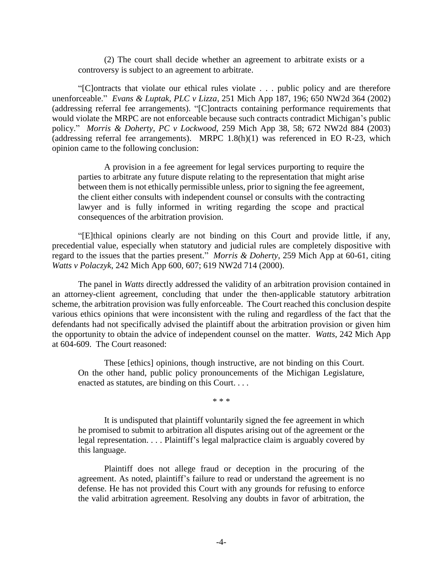(2) The court shall decide whether an agreement to arbitrate exists or a controversy is subject to an agreement to arbitrate.

"[C]ontracts that violate our ethical rules violate . . . public policy and are therefore unenforceable." *Evans & Luptak, PLC v Lizza*, 251 Mich App 187, 196; 650 NW2d 364 (2002) (addressing referral fee arrangements). "[C]ontracts containing performance requirements that would violate the MRPC are not enforceable because such contracts contradict Michigan's public policy." *Morris & Doherty, PC v Lockwood*, 259 Mich App 38, 58; 672 NW2d 884 (2003) (addressing referral fee arrangements). MRPC 1.8(h)(1) was referenced in EO R-23, which opinion came to the following conclusion:

A provision in a fee agreement for legal services purporting to require the parties to arbitrate any future dispute relating to the representation that might arise between them is not ethically permissible unless, prior to signing the fee agreement, the client either consults with independent counsel or consults with the contracting lawyer and is fully informed in writing regarding the scope and practical consequences of the arbitration provision.

"[E]thical opinions clearly are not binding on this Court and provide little, if any, precedential value, especially when statutory and judicial rules are completely dispositive with regard to the issues that the parties present." *Morris & Doherty*, 259 Mich App at 60-61, citing *Watts v Polaczyk*, 242 Mich App 600, 607; 619 NW2d 714 (2000).

The panel in *Watts* directly addressed the validity of an arbitration provision contained in an attorney-client agreement, concluding that under the then-applicable statutory arbitration scheme, the arbitration provision was fully enforceable. The Court reached this conclusion despite various ethics opinions that were inconsistent with the ruling and regardless of the fact that the defendants had not specifically advised the plaintiff about the arbitration provision or given him the opportunity to obtain the advice of independent counsel on the matter. *Watts*, 242 Mich App at 604-609. The Court reasoned:

These [ethics] opinions, though instructive, are not binding on this Court. On the other hand, public policy pronouncements of the Michigan Legislature, enacted as statutes, are binding on this Court. . . .

\* \* \*

It is undisputed that plaintiff voluntarily signed the fee agreement in which he promised to submit to arbitration all disputes arising out of the agreement or the legal representation. . . . Plaintiff's legal malpractice claim is arguably covered by this language.

Plaintiff does not allege fraud or deception in the procuring of the agreement. As noted, plaintiff's failure to read or understand the agreement is no defense. He has not provided this Court with any grounds for refusing to enforce the valid arbitration agreement. Resolving any doubts in favor of arbitration, the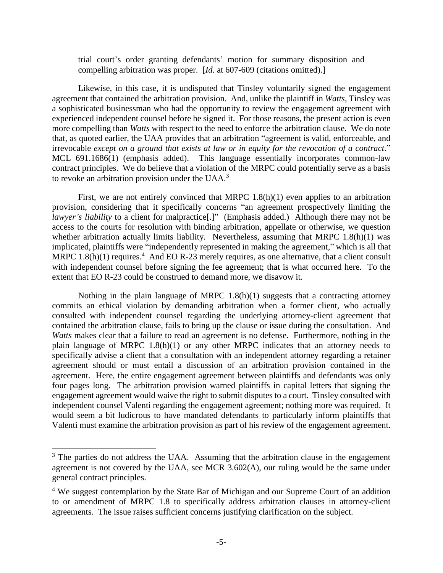trial court's order granting defendants' motion for summary disposition and compelling arbitration was proper. [*Id.* at 607-609 (citations omitted).]

Likewise, in this case, it is undisputed that Tinsley voluntarily signed the engagement agreement that contained the arbitration provision. And, unlike the plaintiff in *Watts*, Tinsley was a sophisticated businessman who had the opportunity to review the engagement agreement with experienced independent counsel before he signed it. For those reasons, the present action is even more compelling than *Watts* with respect to the need to enforce the arbitration clause. We do note that, as quoted earlier, the UAA provides that an arbitration "agreement is valid, enforceable, and irrevocable *except on a ground that exists at law or in equity for the revocation of a contract*." MCL 691.1686(1) (emphasis added). This language essentially incorporates common-law contract principles. We do believe that a violation of the MRPC could potentially serve as a basis to revoke an arbitration provision under the UAA. $3$ 

First, we are not entirely convinced that MRPC 1.8(h)(1) even applies to an arbitration provision, considering that it specifically concerns "an agreement prospectively limiting the *lawyer's liability* to a client for malpractice[.]" (Emphasis added.) Although there may not be access to the courts for resolution with binding arbitration, appellate or otherwise, we question whether arbitration actually limits liability. Nevertheless, assuming that MRPC 1.8(h)(1) was implicated, plaintiffs were "independently represented in making the agreement," which is all that MRPC 1.8(h)(1) requires.<sup>4</sup> And EO R-23 merely requires, as one alternative, that a client consult with independent counsel before signing the fee agreement; that is what occurred here. To the extent that EO R-23 could be construed to demand more, we disavow it.

Nothing in the plain language of MRPC 1.8(h)(1) suggests that a contracting attorney commits an ethical violation by demanding arbitration when a former client, who actually consulted with independent counsel regarding the underlying attorney-client agreement that contained the arbitration clause, fails to bring up the clause or issue during the consultation. And *Watts* makes clear that a failure to read an agreement is no defense. Furthermore, nothing in the plain language of MRPC 1.8(h)(1) or any other MRPC indicates that an attorney needs to specifically advise a client that a consultation with an independent attorney regarding a retainer agreement should or must entail a discussion of an arbitration provision contained in the agreement. Here, the entire engagement agreement between plaintiffs and defendants was only four pages long. The arbitration provision warned plaintiffs in capital letters that signing the engagement agreement would waive the right to submit disputes to a court. Tinsley consulted with independent counsel Valenti regarding the engagement agreement; nothing more was required. It would seem a bit ludicrous to have mandated defendants to particularly inform plaintiffs that Valenti must examine the arbitration provision as part of his review of the engagement agreement.

 $\overline{a}$ 

 $3$  The parties do not address the UAA. Assuming that the arbitration clause in the engagement agreement is not covered by the UAA, see MCR 3.602(A), our ruling would be the same under general contract principles.

<sup>&</sup>lt;sup>4</sup> We suggest contemplation by the State Bar of Michigan and our Supreme Court of an addition to or amendment of MRPC 1.8 to specifically address arbitration clauses in attorney-client agreements. The issue raises sufficient concerns justifying clarification on the subject.